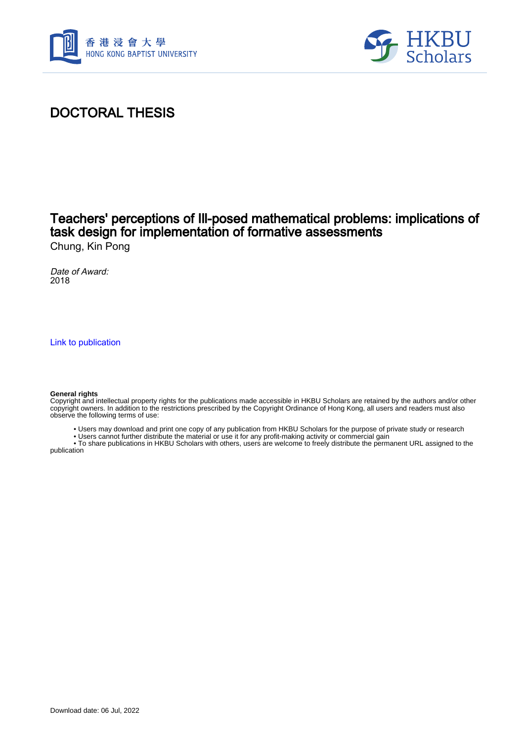



## DOCTORAL THESIS

## Teachers' perceptions of Ill-posed mathematical problems: implications of task design for implementation of formative assessments

Chung, Kin Pong

Date of Award: 2018

[Link to publication](https://scholars.hkbu.edu.hk/en/studentTheses/b9e5c89b-cb55-4465-a4af-32234ec3b1c1)

#### **General rights**

Copyright and intellectual property rights for the publications made accessible in HKBU Scholars are retained by the authors and/or other copyright owners. In addition to the restrictions prescribed by the Copyright Ordinance of Hong Kong, all users and readers must also observe the following terms of use:

• Users may download and print one copy of any publication from HKBU Scholars for the purpose of private study or research

• Users cannot further distribute the material or use it for any profit-making activity or commercial gain

 • To share publications in HKBU Scholars with others, users are welcome to freely distribute the permanent URL assigned to the publication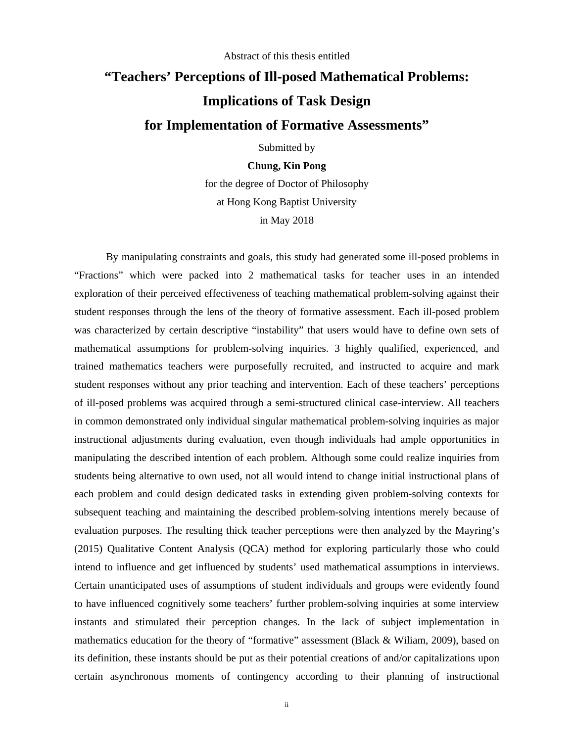#### Abstract of this thesis entitled

# **"Teachers' Perceptions of Ill-posed Mathematical Problems: Implications of Task Design for Implementation of Formative Assessments"**

Submitted by

### **Chung, Kin Pong**

for the degree of Doctor of Philosophy at Hong Kong Baptist University in May 2018

By manipulating constraints and goals, this study had generated some ill-posed problems in "Fractions" which were packed into 2 mathematical tasks for teacher uses in an intended exploration of their perceived effectiveness of teaching mathematical problem-solving against their student responses through the lens of the theory of formative assessment. Each ill-posed problem was characterized by certain descriptive "instability" that users would have to define own sets of mathematical assumptions for problem-solving inquiries. 3 highly qualified, experienced, and trained mathematics teachers were purposefully recruited, and instructed to acquire and mark student responses without any prior teaching and intervention. Each of these teachers' perceptions of ill-posed problems was acquired through a semi-structured clinical case-interview. All teachers in common demonstrated only individual singular mathematical problem-solving inquiries as major instructional adjustments during evaluation, even though individuals had ample opportunities in manipulating the described intention of each problem. Although some could realize inquiries from students being alternative to own used, not all would intend to change initial instructional plans of each problem and could design dedicated tasks in extending given problem-solving contexts for subsequent teaching and maintaining the described problem-solving intentions merely because of evaluation purposes. The resulting thick teacher perceptions were then analyzed by the Mayring's (2015) Qualitative Content Analysis (QCA) method for exploring particularly those who could intend to influence and get influenced by students' used mathematical assumptions in interviews. Certain unanticipated uses of assumptions of student individuals and groups were evidently found to have influenced cognitively some teachers' further problem-solving inquiries at some interview instants and stimulated their perception changes. In the lack of subject implementation in mathematics education for the theory of "formative" assessment (Black & Wiliam, 2009), based on its definition, these instants should be put as their potential creations of and/or capitalizations upon certain asynchronous moments of contingency according to their planning of instructional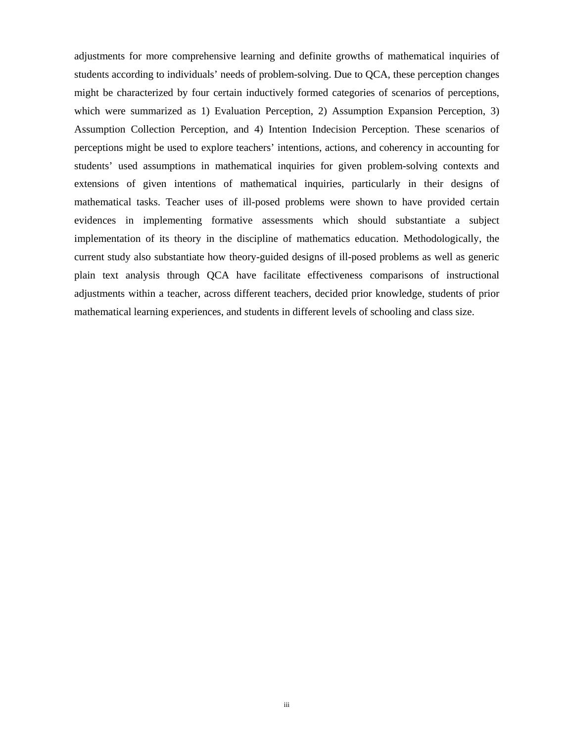adjustments for more comprehensive learning and definite growths of mathematical inquiries of students according to individuals' needs of problem-solving. Due to QCA, these perception changes might be characterized by four certain inductively formed categories of scenarios of perceptions, which were summarized as 1) Evaluation Perception, 2) Assumption Expansion Perception, 3) Assumption Collection Perception, and 4) Intention Indecision Perception. These scenarios of perceptions might be used to explore teachers' intentions, actions, and coherency in accounting for students' used assumptions in mathematical inquiries for given problem-solving contexts and extensions of given intentions of mathematical inquiries, particularly in their designs of mathematical tasks. Teacher uses of ill-posed problems were shown to have provided certain evidences in implementing formative assessments which should substantiate a subject implementation of its theory in the discipline of mathematics education. Methodologically, the current study also substantiate how theory-guided designs of ill-posed problems as well as generic plain text analysis through QCA have facilitate effectiveness comparisons of instructional adjustments within a teacher, across different teachers, decided prior knowledge, students of prior mathematical learning experiences, and students in different levels of schooling and class size.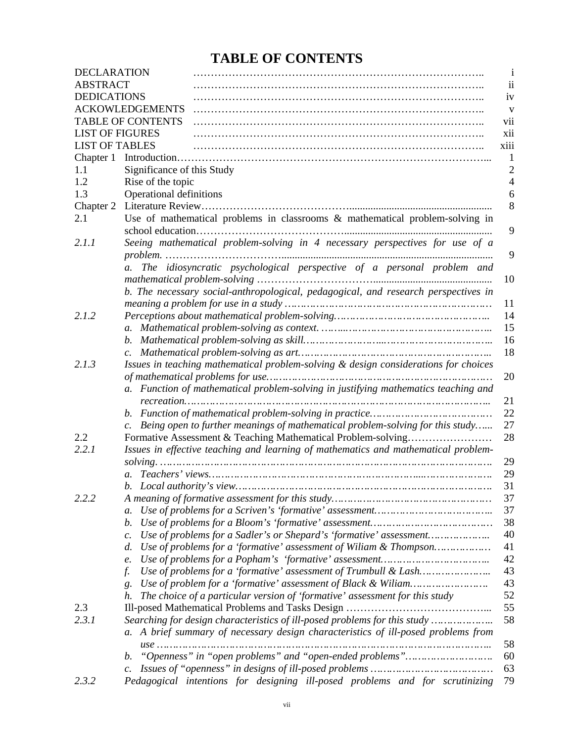## **TABLE OF CONTENTS**

| <b>DECLARATION</b>     |                                                                                               | 1    |
|------------------------|-----------------------------------------------------------------------------------------------|------|
| <b>ABSTRACT</b>        |                                                                                               | ii   |
| <b>DEDICATIONS</b>     |                                                                                               | iv   |
|                        | <b>ACKOWLEDGEMENTS</b>                                                                        | V    |
|                        | <b>TABLE OF CONTENTS</b>                                                                      | vii  |
| <b>LIST OF FIGURES</b> |                                                                                               | xii  |
| <b>LIST OF TABLES</b>  |                                                                                               | xiii |
|                        |                                                                                               |      |
| 1.1                    | Significance of this Study                                                                    | 2    |
| 1.2                    | Rise of the topic                                                                             |      |
| 1.3                    | Operational definitions                                                                       | 6    |
| Chapter 2              |                                                                                               | 8    |
| 2.1                    | Use of mathematical problems in classrooms $\&$ mathematical problem-solving in               |      |
|                        |                                                                                               | 9    |
| 2.1.1                  | Seeing mathematical problem-solving in 4 necessary perspectives for use of a                  |      |
|                        | The idiosyncratic psychological perspective of a personal problem and                         | 9    |
|                        | $a_{\cdot}$                                                                                   | 10   |
|                        |                                                                                               |      |
|                        | b. The necessary social-anthropological, pedagogical, and research perspectives in            | 11   |
| 2.1.2                  |                                                                                               | 14   |
|                        |                                                                                               | 15   |
|                        |                                                                                               | 16   |
|                        | $\mathcal{C}$ .                                                                               | 18   |
| 2.1.3                  | Issues in teaching mathematical problem-solving & design considerations for choices           |      |
|                        |                                                                                               | 20   |
|                        | Function of mathematical problem-solving in justifying mathematics teaching and               |      |
|                        |                                                                                               | 21   |
|                        | b.                                                                                            | 22   |
|                        | Being open to further meanings of mathematical problem-solving for this study                 | 27   |
| 2.2                    | Formative Assessment & Teaching Mathematical Problem-solving                                  | 28   |
| 2.2.1                  | Issues in effective teaching and learning of mathematics and mathematical problem-            |      |
|                        |                                                                                               | 29   |
|                        |                                                                                               | 29   |
|                        |                                                                                               | 31   |
| 2.2.2                  |                                                                                               | 37   |
|                        | $a$ .                                                                                         | 37   |
|                        | b.                                                                                            | 38   |
|                        | Use of problems for a Sadler's or Shepard's 'formative' assessment<br>$\mathcal{C}$ .         | 40   |
|                        | Use of problems for a 'formative' assessment of Wiliam & Thompson<br>d.                       | 41   |
|                        | e.                                                                                            | 42   |
|                        | f.                                                                                            | 43   |
|                        | g.                                                                                            | 43   |
|                        | The choice of a particular version of 'formative' assessment for this study<br>h.             | 52   |
| 2.3                    |                                                                                               | 55   |
| 2.3.1                  | Searching for design characteristics of ill-posed problems for this study                     | 58   |
|                        | A brief summary of necessary design characteristics of ill-posed problems from<br>$a_{\cdot}$ |      |
|                        |                                                                                               | 58   |
|                        | b.                                                                                            | 60   |
|                        | $\mathcal{C}$ .                                                                               | 63   |
| 2.3.2                  | Pedagogical intentions for designing ill-posed problems and for scrutinizing                  | 79   |
|                        |                                                                                               |      |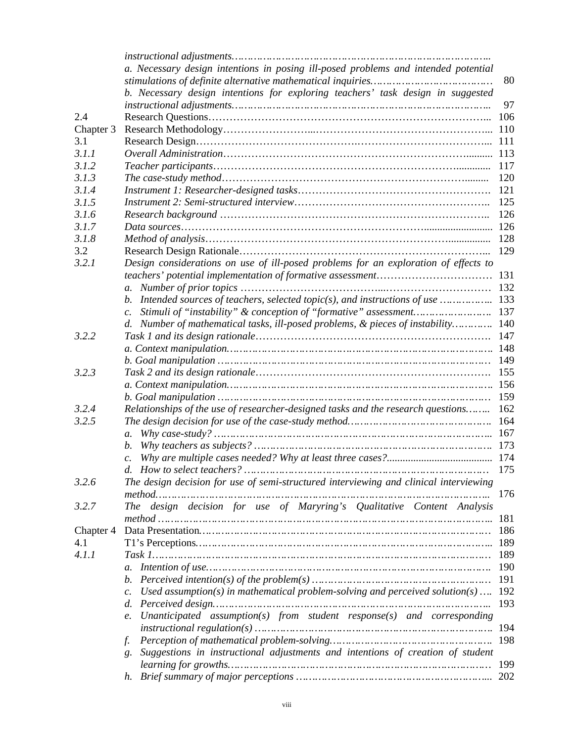|           | a. Necessary design intentions in posing ill-posed problems and intended potential                                                               |     |
|-----------|--------------------------------------------------------------------------------------------------------------------------------------------------|-----|
|           |                                                                                                                                                  | 80  |
|           | b. Necessary design intentions for exploring teachers' task design in suggested                                                                  |     |
|           |                                                                                                                                                  | 97  |
| 2.4       |                                                                                                                                                  | 106 |
| Chapter 3 |                                                                                                                                                  | 110 |
| 3.1       |                                                                                                                                                  | 111 |
| 3.1.1     |                                                                                                                                                  | 113 |
| 3.1.2     |                                                                                                                                                  | 117 |
| 3.1.3     |                                                                                                                                                  | 120 |
| 3.1.4     |                                                                                                                                                  | 121 |
| 3.1.5     |                                                                                                                                                  | 125 |
| 3.1.6     |                                                                                                                                                  | 126 |
| 3.1.7     |                                                                                                                                                  | 126 |
|           |                                                                                                                                                  | 128 |
| 3.1.8     |                                                                                                                                                  |     |
| 3.2       |                                                                                                                                                  | 129 |
| 3.2.1     | Design considerations on use of ill-posed problems for an exploration of effects to                                                              |     |
|           |                                                                                                                                                  | 131 |
|           | $a_{\cdot}$                                                                                                                                      | 132 |
|           | Intended sources of teachers, selected topic(s), and instructions of use                                                                         | 133 |
|           | Stimuli of "instability" & conception of "formative" assessment                                                                                  | 137 |
|           | Number of mathematical tasks, ill-posed problems, & pieces of instability<br>$d_{\cdot}$                                                         | 140 |
| 3.2.2     |                                                                                                                                                  | 147 |
|           |                                                                                                                                                  | 148 |
|           |                                                                                                                                                  | 149 |
| 3.2.3     |                                                                                                                                                  | 155 |
|           |                                                                                                                                                  | 156 |
|           |                                                                                                                                                  | 159 |
| 3.2.4     | Relationships of the use of researcher-designed tasks and the research questions                                                                 | 162 |
| 3.2.5     |                                                                                                                                                  | 164 |
|           | $a$ .                                                                                                                                            | 167 |
|           | b.                                                                                                                                               | 173 |
|           |                                                                                                                                                  | 174 |
|           | d. How to select teachers?<br>                                                                                                                   | 175 |
| 3.2.6     | The design decision for use of semi-structured interviewing and clinical interviewing                                                            |     |
|           | method                                                                                                                                           | 176 |
| 3.2.7     | The design decision for use of Maryring's Qualitative Content Analysis                                                                           |     |
|           |                                                                                                                                                  | 181 |
| Chapter 4 |                                                                                                                                                  | 186 |
| 4.1       |                                                                                                                                                  | 189 |
| 4.1.1     |                                                                                                                                                  | 189 |
|           | $a_{\cdot}$                                                                                                                                      | 190 |
|           | Perceived intention(s) of the problem(s) $\dots \dots \dots \dots \dots \dots \dots \dots \dots \dots \dots \dots \dots \dots \dots \dots$<br>b. | 191 |
|           | Used assumption(s) in mathematical problem-solving and perceived solution(s)<br>$\mathcal{C}$ .                                                  | 192 |
|           | d.                                                                                                                                               | 193 |
|           | Unanticipated assumption(s) from student response(s) and corresponding                                                                           |     |
|           | e.                                                                                                                                               | 194 |
|           |                                                                                                                                                  | 198 |
|           | f.                                                                                                                                               |     |
|           | Suggestions in instructional adjustments and intentions of creation of student<br>g.                                                             |     |
|           |                                                                                                                                                  | 199 |
|           | h.                                                                                                                                               | 202 |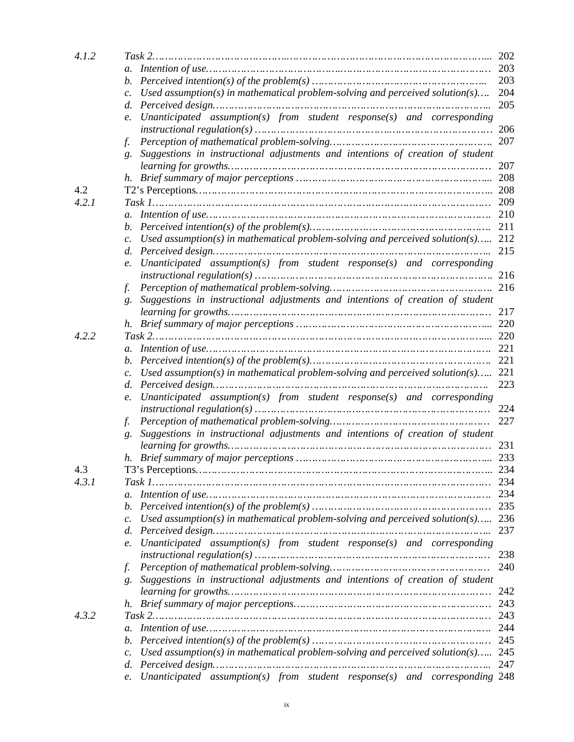| 203<br>$a_{\cdot}$<br>203<br>b.<br>Used assumption(s) in mathematical problem-solving and perceived solution(s)<br>204<br>$\mathcal{C}$ .<br>205<br>d.<br>Unanticipated assumption(s) from student response(s) and corresponding<br>e.<br>206<br>207<br>f.<br>Suggestions in instructional adjustments and intentions of creation of student<br>g.<br>207<br>208<br>4.2<br>208<br>4.2.1<br>209<br>210<br>$a$ .<br>211<br>b.<br>212<br>Used assumption(s) in mathematical problem-solving and perceived solution(s)<br>$\mathcal{C}$ .<br>215<br>$d_{\cdot}$<br>Unanticipated assumption(s) from student response(s) and corresponding<br>$\ell$ .<br>216<br>216<br>f.<br>Suggestions in instructional adjustments and intentions of creation of student<br>g.<br>217<br>220<br>h.<br>220<br>4.2.2<br>221<br>$a$ .<br>221<br>b.<br>Used assumption(s) in mathematical problem-solving and perceived solution(s)<br>221<br>$\mathcal{C}$ .<br>223<br>$d_{\cdot}$<br>Unanticipated assumption(s) from student response(s) and corresponding<br>e.<br>224<br>227<br>f.<br>Suggestions in instructional adjustments and intentions of creation of student<br>g.<br>231<br>233<br>h.<br>234<br>4.3<br>4.3.1<br>$a$ .<br>235<br>b.<br>Used assumption(s) in mathematical problem-solving and perceived solution(s) 236<br>$\mathcal{C}$ .<br>237<br>d.<br>Unanticipated assumption(s) from student response(s) and corresponding<br>e.<br>238<br>240<br>f.<br>Suggestions in instructional adjustments and intentions of creation of student<br>g.<br>242<br>243<br>h.<br>243<br>4.3.2<br>244<br>$a$ .<br>245<br>b.<br>Used assumption(s) in mathematical problem-solving and perceived solution(s) 245 | 4.1.2 |                 | 202 |
|--------------------------------------------------------------------------------------------------------------------------------------------------------------------------------------------------------------------------------------------------------------------------------------------------------------------------------------------------------------------------------------------------------------------------------------------------------------------------------------------------------------------------------------------------------------------------------------------------------------------------------------------------------------------------------------------------------------------------------------------------------------------------------------------------------------------------------------------------------------------------------------------------------------------------------------------------------------------------------------------------------------------------------------------------------------------------------------------------------------------------------------------------------------------------------------------------------------------------------------------------------------------------------------------------------------------------------------------------------------------------------------------------------------------------------------------------------------------------------------------------------------------------------------------------------------------------------------------------------------------------------------------------------------------------------------------------|-------|-----------------|-----|
|                                                                                                                                                                                                                                                                                                                                                                                                                                                                                                                                                                                                                                                                                                                                                                                                                                                                                                                                                                                                                                                                                                                                                                                                                                                                                                                                                                                                                                                                                                                                                                                                                                                                                                  |       |                 |     |
|                                                                                                                                                                                                                                                                                                                                                                                                                                                                                                                                                                                                                                                                                                                                                                                                                                                                                                                                                                                                                                                                                                                                                                                                                                                                                                                                                                                                                                                                                                                                                                                                                                                                                                  |       |                 |     |
|                                                                                                                                                                                                                                                                                                                                                                                                                                                                                                                                                                                                                                                                                                                                                                                                                                                                                                                                                                                                                                                                                                                                                                                                                                                                                                                                                                                                                                                                                                                                                                                                                                                                                                  |       |                 |     |
|                                                                                                                                                                                                                                                                                                                                                                                                                                                                                                                                                                                                                                                                                                                                                                                                                                                                                                                                                                                                                                                                                                                                                                                                                                                                                                                                                                                                                                                                                                                                                                                                                                                                                                  |       |                 |     |
|                                                                                                                                                                                                                                                                                                                                                                                                                                                                                                                                                                                                                                                                                                                                                                                                                                                                                                                                                                                                                                                                                                                                                                                                                                                                                                                                                                                                                                                                                                                                                                                                                                                                                                  |       |                 |     |
|                                                                                                                                                                                                                                                                                                                                                                                                                                                                                                                                                                                                                                                                                                                                                                                                                                                                                                                                                                                                                                                                                                                                                                                                                                                                                                                                                                                                                                                                                                                                                                                                                                                                                                  |       |                 |     |
|                                                                                                                                                                                                                                                                                                                                                                                                                                                                                                                                                                                                                                                                                                                                                                                                                                                                                                                                                                                                                                                                                                                                                                                                                                                                                                                                                                                                                                                                                                                                                                                                                                                                                                  |       |                 |     |
|                                                                                                                                                                                                                                                                                                                                                                                                                                                                                                                                                                                                                                                                                                                                                                                                                                                                                                                                                                                                                                                                                                                                                                                                                                                                                                                                                                                                                                                                                                                                                                                                                                                                                                  |       |                 |     |
|                                                                                                                                                                                                                                                                                                                                                                                                                                                                                                                                                                                                                                                                                                                                                                                                                                                                                                                                                                                                                                                                                                                                                                                                                                                                                                                                                                                                                                                                                                                                                                                                                                                                                                  |       |                 |     |
|                                                                                                                                                                                                                                                                                                                                                                                                                                                                                                                                                                                                                                                                                                                                                                                                                                                                                                                                                                                                                                                                                                                                                                                                                                                                                                                                                                                                                                                                                                                                                                                                                                                                                                  |       |                 |     |
|                                                                                                                                                                                                                                                                                                                                                                                                                                                                                                                                                                                                                                                                                                                                                                                                                                                                                                                                                                                                                                                                                                                                                                                                                                                                                                                                                                                                                                                                                                                                                                                                                                                                                                  |       |                 |     |
|                                                                                                                                                                                                                                                                                                                                                                                                                                                                                                                                                                                                                                                                                                                                                                                                                                                                                                                                                                                                                                                                                                                                                                                                                                                                                                                                                                                                                                                                                                                                                                                                                                                                                                  |       |                 |     |
|                                                                                                                                                                                                                                                                                                                                                                                                                                                                                                                                                                                                                                                                                                                                                                                                                                                                                                                                                                                                                                                                                                                                                                                                                                                                                                                                                                                                                                                                                                                                                                                                                                                                                                  |       |                 |     |
|                                                                                                                                                                                                                                                                                                                                                                                                                                                                                                                                                                                                                                                                                                                                                                                                                                                                                                                                                                                                                                                                                                                                                                                                                                                                                                                                                                                                                                                                                                                                                                                                                                                                                                  |       |                 |     |
|                                                                                                                                                                                                                                                                                                                                                                                                                                                                                                                                                                                                                                                                                                                                                                                                                                                                                                                                                                                                                                                                                                                                                                                                                                                                                                                                                                                                                                                                                                                                                                                                                                                                                                  |       |                 |     |
|                                                                                                                                                                                                                                                                                                                                                                                                                                                                                                                                                                                                                                                                                                                                                                                                                                                                                                                                                                                                                                                                                                                                                                                                                                                                                                                                                                                                                                                                                                                                                                                                                                                                                                  |       |                 |     |
|                                                                                                                                                                                                                                                                                                                                                                                                                                                                                                                                                                                                                                                                                                                                                                                                                                                                                                                                                                                                                                                                                                                                                                                                                                                                                                                                                                                                                                                                                                                                                                                                                                                                                                  |       |                 |     |
|                                                                                                                                                                                                                                                                                                                                                                                                                                                                                                                                                                                                                                                                                                                                                                                                                                                                                                                                                                                                                                                                                                                                                                                                                                                                                                                                                                                                                                                                                                                                                                                                                                                                                                  |       |                 |     |
|                                                                                                                                                                                                                                                                                                                                                                                                                                                                                                                                                                                                                                                                                                                                                                                                                                                                                                                                                                                                                                                                                                                                                                                                                                                                                                                                                                                                                                                                                                                                                                                                                                                                                                  |       |                 |     |
|                                                                                                                                                                                                                                                                                                                                                                                                                                                                                                                                                                                                                                                                                                                                                                                                                                                                                                                                                                                                                                                                                                                                                                                                                                                                                                                                                                                                                                                                                                                                                                                                                                                                                                  |       |                 |     |
|                                                                                                                                                                                                                                                                                                                                                                                                                                                                                                                                                                                                                                                                                                                                                                                                                                                                                                                                                                                                                                                                                                                                                                                                                                                                                                                                                                                                                                                                                                                                                                                                                                                                                                  |       |                 |     |
|                                                                                                                                                                                                                                                                                                                                                                                                                                                                                                                                                                                                                                                                                                                                                                                                                                                                                                                                                                                                                                                                                                                                                                                                                                                                                                                                                                                                                                                                                                                                                                                                                                                                                                  |       |                 |     |
|                                                                                                                                                                                                                                                                                                                                                                                                                                                                                                                                                                                                                                                                                                                                                                                                                                                                                                                                                                                                                                                                                                                                                                                                                                                                                                                                                                                                                                                                                                                                                                                                                                                                                                  |       |                 |     |
|                                                                                                                                                                                                                                                                                                                                                                                                                                                                                                                                                                                                                                                                                                                                                                                                                                                                                                                                                                                                                                                                                                                                                                                                                                                                                                                                                                                                                                                                                                                                                                                                                                                                                                  |       |                 |     |
|                                                                                                                                                                                                                                                                                                                                                                                                                                                                                                                                                                                                                                                                                                                                                                                                                                                                                                                                                                                                                                                                                                                                                                                                                                                                                                                                                                                                                                                                                                                                                                                                                                                                                                  |       |                 |     |
|                                                                                                                                                                                                                                                                                                                                                                                                                                                                                                                                                                                                                                                                                                                                                                                                                                                                                                                                                                                                                                                                                                                                                                                                                                                                                                                                                                                                                                                                                                                                                                                                                                                                                                  |       |                 |     |
|                                                                                                                                                                                                                                                                                                                                                                                                                                                                                                                                                                                                                                                                                                                                                                                                                                                                                                                                                                                                                                                                                                                                                                                                                                                                                                                                                                                                                                                                                                                                                                                                                                                                                                  |       |                 |     |
|                                                                                                                                                                                                                                                                                                                                                                                                                                                                                                                                                                                                                                                                                                                                                                                                                                                                                                                                                                                                                                                                                                                                                                                                                                                                                                                                                                                                                                                                                                                                                                                                                                                                                                  |       |                 |     |
|                                                                                                                                                                                                                                                                                                                                                                                                                                                                                                                                                                                                                                                                                                                                                                                                                                                                                                                                                                                                                                                                                                                                                                                                                                                                                                                                                                                                                                                                                                                                                                                                                                                                                                  |       |                 |     |
|                                                                                                                                                                                                                                                                                                                                                                                                                                                                                                                                                                                                                                                                                                                                                                                                                                                                                                                                                                                                                                                                                                                                                                                                                                                                                                                                                                                                                                                                                                                                                                                                                                                                                                  |       |                 |     |
|                                                                                                                                                                                                                                                                                                                                                                                                                                                                                                                                                                                                                                                                                                                                                                                                                                                                                                                                                                                                                                                                                                                                                                                                                                                                                                                                                                                                                                                                                                                                                                                                                                                                                                  |       |                 |     |
|                                                                                                                                                                                                                                                                                                                                                                                                                                                                                                                                                                                                                                                                                                                                                                                                                                                                                                                                                                                                                                                                                                                                                                                                                                                                                                                                                                                                                                                                                                                                                                                                                                                                                                  |       |                 |     |
|                                                                                                                                                                                                                                                                                                                                                                                                                                                                                                                                                                                                                                                                                                                                                                                                                                                                                                                                                                                                                                                                                                                                                                                                                                                                                                                                                                                                                                                                                                                                                                                                                                                                                                  |       |                 |     |
|                                                                                                                                                                                                                                                                                                                                                                                                                                                                                                                                                                                                                                                                                                                                                                                                                                                                                                                                                                                                                                                                                                                                                                                                                                                                                                                                                                                                                                                                                                                                                                                                                                                                                                  |       |                 |     |
|                                                                                                                                                                                                                                                                                                                                                                                                                                                                                                                                                                                                                                                                                                                                                                                                                                                                                                                                                                                                                                                                                                                                                                                                                                                                                                                                                                                                                                                                                                                                                                                                                                                                                                  |       |                 |     |
|                                                                                                                                                                                                                                                                                                                                                                                                                                                                                                                                                                                                                                                                                                                                                                                                                                                                                                                                                                                                                                                                                                                                                                                                                                                                                                                                                                                                                                                                                                                                                                                                                                                                                                  |       |                 |     |
|                                                                                                                                                                                                                                                                                                                                                                                                                                                                                                                                                                                                                                                                                                                                                                                                                                                                                                                                                                                                                                                                                                                                                                                                                                                                                                                                                                                                                                                                                                                                                                                                                                                                                                  |       |                 |     |
|                                                                                                                                                                                                                                                                                                                                                                                                                                                                                                                                                                                                                                                                                                                                                                                                                                                                                                                                                                                                                                                                                                                                                                                                                                                                                                                                                                                                                                                                                                                                                                                                                                                                                                  |       |                 |     |
|                                                                                                                                                                                                                                                                                                                                                                                                                                                                                                                                                                                                                                                                                                                                                                                                                                                                                                                                                                                                                                                                                                                                                                                                                                                                                                                                                                                                                                                                                                                                                                                                                                                                                                  |       |                 |     |
|                                                                                                                                                                                                                                                                                                                                                                                                                                                                                                                                                                                                                                                                                                                                                                                                                                                                                                                                                                                                                                                                                                                                                                                                                                                                                                                                                                                                                                                                                                                                                                                                                                                                                                  |       |                 |     |
|                                                                                                                                                                                                                                                                                                                                                                                                                                                                                                                                                                                                                                                                                                                                                                                                                                                                                                                                                                                                                                                                                                                                                                                                                                                                                                                                                                                                                                                                                                                                                                                                                                                                                                  |       |                 |     |
|                                                                                                                                                                                                                                                                                                                                                                                                                                                                                                                                                                                                                                                                                                                                                                                                                                                                                                                                                                                                                                                                                                                                                                                                                                                                                                                                                                                                                                                                                                                                                                                                                                                                                                  |       |                 |     |
|                                                                                                                                                                                                                                                                                                                                                                                                                                                                                                                                                                                                                                                                                                                                                                                                                                                                                                                                                                                                                                                                                                                                                                                                                                                                                                                                                                                                                                                                                                                                                                                                                                                                                                  |       |                 |     |
|                                                                                                                                                                                                                                                                                                                                                                                                                                                                                                                                                                                                                                                                                                                                                                                                                                                                                                                                                                                                                                                                                                                                                                                                                                                                                                                                                                                                                                                                                                                                                                                                                                                                                                  |       |                 |     |
|                                                                                                                                                                                                                                                                                                                                                                                                                                                                                                                                                                                                                                                                                                                                                                                                                                                                                                                                                                                                                                                                                                                                                                                                                                                                                                                                                                                                                                                                                                                                                                                                                                                                                                  |       |                 |     |
|                                                                                                                                                                                                                                                                                                                                                                                                                                                                                                                                                                                                                                                                                                                                                                                                                                                                                                                                                                                                                                                                                                                                                                                                                                                                                                                                                                                                                                                                                                                                                                                                                                                                                                  |       |                 |     |
|                                                                                                                                                                                                                                                                                                                                                                                                                                                                                                                                                                                                                                                                                                                                                                                                                                                                                                                                                                                                                                                                                                                                                                                                                                                                                                                                                                                                                                                                                                                                                                                                                                                                                                  |       |                 |     |
|                                                                                                                                                                                                                                                                                                                                                                                                                                                                                                                                                                                                                                                                                                                                                                                                                                                                                                                                                                                                                                                                                                                                                                                                                                                                                                                                                                                                                                                                                                                                                                                                                                                                                                  |       |                 |     |
|                                                                                                                                                                                                                                                                                                                                                                                                                                                                                                                                                                                                                                                                                                                                                                                                                                                                                                                                                                                                                                                                                                                                                                                                                                                                                                                                                                                                                                                                                                                                                                                                                                                                                                  |       |                 |     |
|                                                                                                                                                                                                                                                                                                                                                                                                                                                                                                                                                                                                                                                                                                                                                                                                                                                                                                                                                                                                                                                                                                                                                                                                                                                                                                                                                                                                                                                                                                                                                                                                                                                                                                  |       |                 |     |
|                                                                                                                                                                                                                                                                                                                                                                                                                                                                                                                                                                                                                                                                                                                                                                                                                                                                                                                                                                                                                                                                                                                                                                                                                                                                                                                                                                                                                                                                                                                                                                                                                                                                                                  |       | $\mathcal{C}$ . |     |
| 247<br>d.                                                                                                                                                                                                                                                                                                                                                                                                                                                                                                                                                                                                                                                                                                                                                                                                                                                                                                                                                                                                                                                                                                                                                                                                                                                                                                                                                                                                                                                                                                                                                                                                                                                                                        |       |                 |     |
| Unanticipated assumption(s) from student response(s) and corresponding 248<br>e.                                                                                                                                                                                                                                                                                                                                                                                                                                                                                                                                                                                                                                                                                                                                                                                                                                                                                                                                                                                                                                                                                                                                                                                                                                                                                                                                                                                                                                                                                                                                                                                                                 |       |                 |     |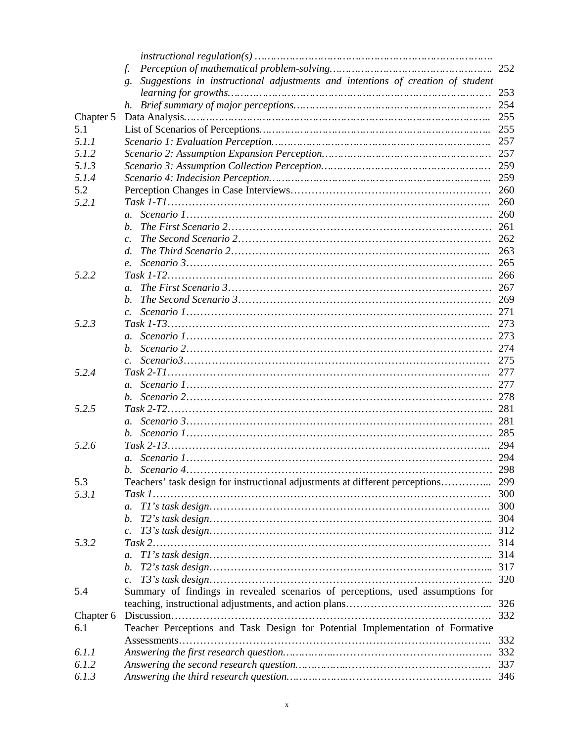|           | f.                                                                                   | 252 |
|-----------|--------------------------------------------------------------------------------------|-----|
|           | Suggestions in instructional adjustments and intentions of creation of student<br>g. |     |
|           |                                                                                      | 253 |
|           | h.                                                                                   | 254 |
| Chapter 5 |                                                                                      | 255 |
| 5.1       |                                                                                      | 255 |
| 5.1.1     |                                                                                      | 257 |
| 5.1.2     |                                                                                      |     |
|           |                                                                                      | 257 |
| 5.1.3     |                                                                                      | 259 |
| 5.1.4     |                                                                                      | 259 |
| 5.2       |                                                                                      | 260 |
| 5.2.1     |                                                                                      | 260 |
|           | $a_{\cdot}$                                                                          | 260 |
|           | <sub>h</sub>                                                                         | 261 |
|           |                                                                                      | 262 |
|           | d.                                                                                   | 263 |
|           | $\mathbf{e}$ .                                                                       | 265 |
| 5.2.2     |                                                                                      | 266 |
|           | $\mathfrak{a}$ .                                                                     | 267 |
|           |                                                                                      |     |
|           |                                                                                      | 269 |
|           |                                                                                      | 271 |
| 5.2.3     |                                                                                      | 273 |
|           | $\mathfrak{a}$ .                                                                     | 273 |
|           | $h_{\cdot}$                                                                          | 274 |
|           |                                                                                      | 275 |
| 5.2.4     |                                                                                      | 277 |
|           |                                                                                      | 277 |
|           | b.                                                                                   | 278 |
| 5.2.5     |                                                                                      | 281 |
|           |                                                                                      | 281 |
|           | $b_{\cdot}$                                                                          | 285 |
| 5.2.6     |                                                                                      | 294 |
|           |                                                                                      | 294 |
|           |                                                                                      |     |
|           | b. Scenario 4                                                                        | 298 |
| 5.3       | Teachers' task design for instructional adjustments at different perceptions         | 299 |
| 5.3.1     |                                                                                      | 300 |
|           | $\mathfrak{a}$ .                                                                     | 300 |
|           | b.                                                                                   | 304 |
|           |                                                                                      | 312 |
| 5.3.2     |                                                                                      | 314 |
|           | $a$ .                                                                                | 314 |
|           | b.                                                                                   | 317 |
|           | $\mathcal{C}$ .                                                                      | 320 |
| 5.4       | Summary of findings in revealed scenarios of perceptions, used assumptions for       |     |
|           |                                                                                      | 326 |
|           |                                                                                      |     |
| Chapter 6 |                                                                                      | 332 |
| 6.1       | Teacher Perceptions and Task Design for Potential Implementation of Formative        |     |
|           |                                                                                      | 332 |
| 6.1.1     |                                                                                      | 332 |
| 6.1.2     |                                                                                      | 337 |
| 6.1.3     |                                                                                      | 346 |